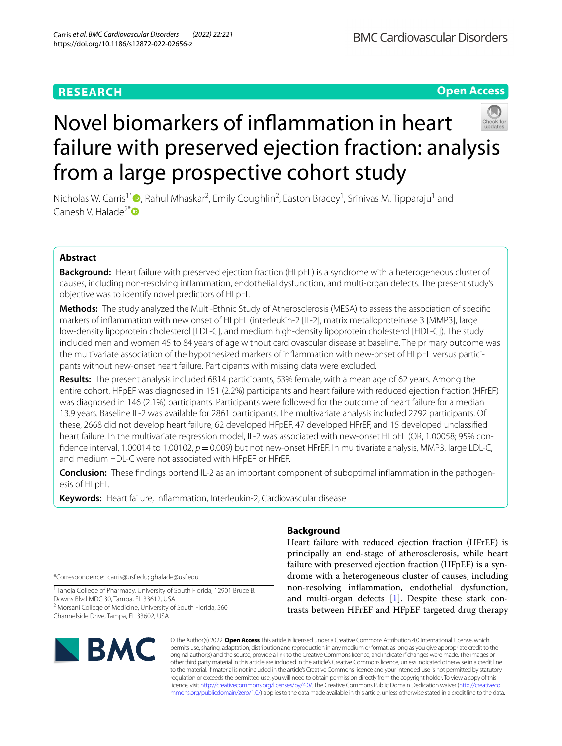# Novel biomarkers of infammation in heart failure with preserved ejection fraction: analysis from a large prospective cohort study

Nicholas W. Carris<sup>1\*</sup><sup>®</sup>[,](http://orcid.org/0000-0001-8904-5034) Rahul Mhaskar<sup>2</sup>, Emily Coughlin<sup>2</sup>, Easton Bracey<sup>1</sup>, Srinivas M. Tipparaju<sup>1</sup> and Ganesh V. Halade<sup>2\*</sup>

### **Abstract**

**Background:** Heart failure with preserved ejection fraction (HFpEF) is a syndrome with a heterogeneous cluster of causes, including non-resolving infammation, endothelial dysfunction, and multi-organ defects. The present study's objective was to identify novel predictors of HFpEF.

**Methods:** The study analyzed the Multi-Ethnic Study of Atherosclerosis (MESA) to assess the association of specifc markers of infammation with new onset of HFpEF (interleukin-2 [IL-2], matrix metalloproteinase 3 [MMP3], large low-density lipoprotein cholesterol [LDL-C], and medium high-density lipoprotein cholesterol [HDL-C]). The study included men and women 45 to 84 years of age without cardiovascular disease at baseline. The primary outcome was the multivariate association of the hypothesized markers of infammation with new-onset of HFpEF versus participants without new-onset heart failure. Participants with missing data were excluded.

**Results:** The present analysis included 6814 participants, 53% female, with a mean age of 62 years. Among the entire cohort, HFpEF was diagnosed in 151 (2.2%) participants and heart failure with reduced ejection fraction (HFrEF) was diagnosed in 146 (2.1%) participants. Participants were followed for the outcome of heart failure for a median 13.9 years. Baseline IL-2 was available for 2861 participants. The multivariate analysis included 2792 participants. Of these, 2668 did not develop heart failure, 62 developed HFpEF, 47 developed HFrEF, and 15 developed unclassifed heart failure. In the multivariate regression model, IL-2 was associated with new-onset HFpEF (OR, 1.00058; 95% confidence interval, 1.00014 to 1.00102,  $p=0.009$ ) but not new-onset HFrEF. In multivariate analysis, MMP3, large LDL-C, and medium HDL-C were not associated with HFpEF or HFrEF.

**Conclusion:** These fndings portend IL-2 as an important component of suboptimal infammation in the pathogenesis of HFpEF.

**Keywords:** Heart failure, Infammation, Interleukin-2, Cardiovascular disease

\*Correspondence: carris@usf.edu; ghalade@usf.edu

<sup>1</sup> Taneja College of Pharmacy, University of South Florida, 12901 Bruce B. Downs Blvd MDC 30, Tampa, FL 33612, USA <sup>2</sup> Morsani College of Medicine, University of South Florida, 560 Channelside Drive, Tampa, FL 33602, USA

### **Background**

Heart failure with reduced ejection fraction (HFrEF) is principally an end-stage of atherosclerosis, while heart failure with preserved ejection fraction (HFpEF) is a syndrome with a heterogeneous cluster of causes, including non-resolving infammation, endothelial dysfunction, and multi-organ defects [\[1](#page-6-0)]. Despite these stark contrasts between HFrEF and HFpEF targeted drug therapy

© The Author(s) 2022. **Open Access** This article is licensed under a Creative Commons Attribution 4.0 International License, which permits use, sharing, adaptation, distribution and reproduction in any medium or format, as long as you give appropriate credit to the original author(s) and the source, provide a link to the Creative Commons licence, and indicate if changes were made. The images or other third party material in this article are included in the article's Creative Commons licence, unless indicated otherwise in a credit line to the material. If material is not included in the article's Creative Commons licence and your intended use is not permitted by statutory regulation or exceeds the permitted use, you will need to obtain permission directly from the copyright holder. To view a copy of this licence, visit [http://creativecommons.org/licenses/by/4.0/.](http://creativecommons.org/licenses/by/4.0/) The Creative Commons Public Domain Dedication waiver ([http://creativeco](http://creativecommons.org/publicdomain/zero/1.0/) [mmons.org/publicdomain/zero/1.0/](http://creativecommons.org/publicdomain/zero/1.0/)) applies to the data made available in this article, unless otherwise stated in a credit line to the data.

## **BMC Cardiovascular Disorders**





**Open Access**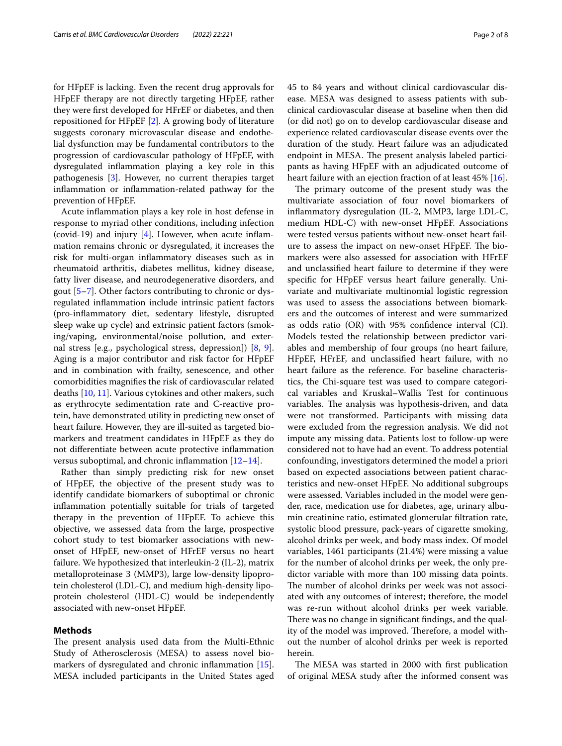for HFpEF is lacking. Even the recent drug approvals for HFpEF therapy are not directly targeting HFpEF, rather they were frst developed for HFrEF or diabetes, and then repositioned for HFpEF [\[2\]](#page-6-1). A growing body of literature suggests coronary microvascular disease and endothelial dysfunction may be fundamental contributors to the progression of cardiovascular pathology of HFpEF, with dysregulated infammation playing a key role in this pathogenesis [\[3](#page-6-2)]. However, no current therapies target infammation or infammation-related pathway for the prevention of HFpEF.

Acute infammation plays a key role in host defense in response to myriad other conditions, including infection (covid-19) and injury  $[4]$  $[4]$  $[4]$ . However, when acute inflammation remains chronic or dysregulated, it increases the risk for multi-organ infammatory diseases such as in rheumatoid arthritis, diabetes mellitus, kidney disease, fatty liver disease, and neurodegenerative disorders, and gout [\[5–](#page-6-4)[7\]](#page-6-5). Other factors contributing to chronic or dysregulated infammation include intrinsic patient factors (pro-infammatory diet, sedentary lifestyle, disrupted sleep wake up cycle) and extrinsic patient factors (smoking/vaping, environmental/noise pollution, and external stress [e.g., psychological stress, depression]) [\[8](#page-6-6), [9](#page-6-7)]. Aging is a major contributor and risk factor for HFpEF and in combination with frailty, senescence, and other comorbidities magnifes the risk of cardiovascular related deaths [[10,](#page-6-8) [11\]](#page-6-9). Various cytokines and other makers, such as erythrocyte sedimentation rate and C‐reactive protein, have demonstrated utility in predicting new onset of heart failure. However, they are ill-suited as targeted biomarkers and treatment candidates in HFpEF as they do not diferentiate between acute protective infammation versus suboptimal, and chronic inflammation  $[12-14]$  $[12-14]$ .

Rather than simply predicting risk for new onset of HFpEF, the objective of the present study was to identify candidate biomarkers of suboptimal or chronic infammation potentially suitable for trials of targeted therapy in the prevention of HFpEF. To achieve this objective, we assessed data from the large, prospective cohort study to test biomarker associations with newonset of HFpEF, new-onset of HFrEF versus no heart failure. We hypothesized that interleukin-2 (IL-2), matrix metalloproteinase 3 (MMP3), large low-density lipoprotein cholesterol (LDL-C), and medium high-density lipoprotein cholesterol (HDL-C) would be independently associated with new-onset HFpEF.

#### **Methods**

The present analysis used data from the Multi-Ethnic Study of Atherosclerosis (MESA) to assess novel bio-markers of dysregulated and chronic inflammation [\[15](#page-6-12)]. MESA included participants in the United States aged 45 to 84 years and without clinical cardiovascular disease. MESA was designed to assess patients with subclinical cardiovascular disease at baseline when then did (or did not) go on to develop cardiovascular disease and experience related cardiovascular disease events over the duration of the study. Heart failure was an adjudicated endpoint in MESA. The present analysis labeled participants as having HFpEF with an adjudicated outcome of heart failure with an ejection fraction of at least 45% [[16\]](#page-6-13).

The primary outcome of the present study was the multivariate association of four novel biomarkers of infammatory dysregulation (IL-2, MMP3, large LDL-C, medium HDL-C) with new-onset HFpEF. Associations were tested versus patients without new-onset heart failure to assess the impact on new-onset HFpEF. The biomarkers were also assessed for association with HFrEF and unclassifed heart failure to determine if they were specifc for HFpEF versus heart failure generally. Univariate and multivariate multinomial logistic regression was used to assess the associations between biomarkers and the outcomes of interest and were summarized as odds ratio (OR) with 95% confdence interval (CI). Models tested the relationship between predictor variables and membership of four groups (no heart failure, HFpEF, HFrEF, and unclassifed heart failure, with no heart failure as the reference. For baseline characteristics, the Chi-square test was used to compare categorical variables and Kruskal–Wallis Test for continuous variables. The analysis was hypothesis-driven, and data were not transformed. Participants with missing data were excluded from the regression analysis. We did not impute any missing data. Patients lost to follow-up were considered not to have had an event. To address potential confounding, investigators determined the model a priori based on expected associations between patient characteristics and new-onset HFpEF. No additional subgroups were assessed. Variables included in the model were gender, race, medication use for diabetes, age, urinary albumin creatinine ratio, estimated glomerular fltration rate, systolic blood pressure, pack-years of cigarette smoking, alcohol drinks per week, and body mass index. Of model variables, 1461 participants (21.4%) were missing a value for the number of alcohol drinks per week, the only predictor variable with more than 100 missing data points. The number of alcohol drinks per week was not associated with any outcomes of interest; therefore, the model was re-run without alcohol drinks per week variable. There was no change in significant findings, and the quality of the model was improved. Therefore, a model without the number of alcohol drinks per week is reported herein.

The MESA was started in 2000 with first publication of original MESA study after the informed consent was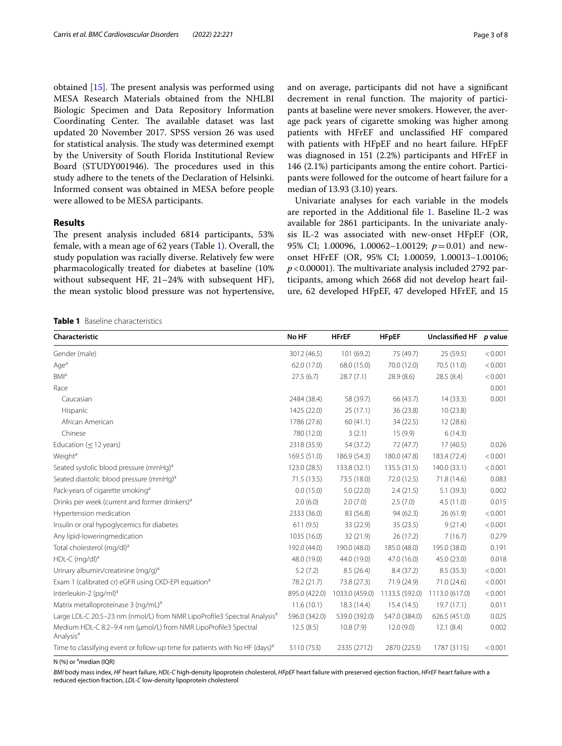obtained  $[15]$  $[15]$ . The present analysis was performed using MESA Research Materials obtained from the NHLBI Biologic Specimen and Data Repository Information Coordinating Center. The available dataset was last updated 20 November 2017. SPSS version 26 was used for statistical analysis. The study was determined exempt by the University of South Florida Institutional Review Board (STUDY001946). The procedures used in this study adhere to the tenets of the Declaration of Helsinki. Informed consent was obtained in MESA before people were allowed to be MESA participants.

#### **Results**

The present analysis included 6814 participants, 53% female, with a mean age of 62 years (Table [1\)](#page-2-0). Overall, the study population was racially diverse. Relatively few were pharmacologically treated for diabetes at baseline (10% without subsequent HF, 21–24% with subsequent HF), the mean systolic blood pressure was not hypertensive, and on average, participants did not have a signifcant decrement in renal function. The majority of participants at baseline were never smokers. However, the average pack years of cigarette smoking was higher among patients with HFrEF and unclassifed HF compared with patients with HFpEF and no heart failure. HFpEF was diagnosed in 151 (2.2%) participants and HFrEF in 146 (2.1%) participants among the entire cohort. Participants were followed for the outcome of heart failure for a median of 13.93 (3.10) years.

Univariate analyses for each variable in the models are reported in the Additional file [1](#page-6-14). Baseline IL-2 was available for 2861 participants. In the univariate analysis IL-2 was associated with new-onset HFpEF (OR, 95% CI; 1.00096, 1.00062–1.00129; *p*=0.01) and newonset HFrEF (OR, 95% CI; 1.00059, 1.00013–1.00106;  $p < 0.00001$ ). The multivariate analysis included 2792 participants, among which 2668 did not develop heart failure, 62 developed HFpEF, 47 developed HFrEF, and 15

<span id="page-2-0"></span>**Table 1** Baseline characteristics

| Characteristic                                                                           | No HF         | <b>HFrEF</b>   | <b>HFpEF</b>   | Unclassified HF p value |         |
|------------------------------------------------------------------------------------------|---------------|----------------|----------------|-------------------------|---------|
| Gender (male)                                                                            | 3012 (46.5)   | 101(69.2)      | 75 (49.7)      | 25 (59.5)               | < 0.001 |
| Aqe <sup>a</sup>                                                                         | 62.0 (17.0)   | 68.0 (15.0)    | 70.0 (12.0)    | 70.5 (11.0)             | < 0.001 |
| <b>BMI</b> <sup>a</sup>                                                                  | 27.5(6.7)     | 28.7(7.1)      | 28.9 (8.6)     | 28.5(8.4)               | < 0.001 |
| Race                                                                                     |               |                |                |                         | 0.001   |
| Caucasian                                                                                | 2484 (38.4)   | 58 (39.7)      | 66 (43.7)      | 14(33.3)                | 0.001   |
| Hispanic                                                                                 | 1425 (22.0)   | 25(17.1)       | 36 (23.8)      | 10(23.8)                |         |
| African American                                                                         | 1786 (27.6)   | 60(41.1)       | 34 (22.5)      | 12(28.6)                |         |
| Chinese                                                                                  | 780 (12.0)    | 3(2.1)         | 15(9.9)        | 6(14.3)                 |         |
| Education ( $\leq$ 12 years)                                                             | 2318 (35.9)   | 54 (37.2)      | 72(47.7)       | 17(40.5)                | 0.026   |
| Weight <sup>a</sup>                                                                      | 169.5 (51.0)  | 186.9 (54.3)   | 180.0 (47.8)   | 183.4 (72.4)            | < 0.001 |
| Seated systolic blood pressure (mmHg) <sup>a</sup>                                       | 123.0 (28.5)  | 133.8 (32.1)   | 135.5 (31.5)   | 140.0 (33.1)            | < 0.001 |
| Seated diastolic blood pressure (mmHg) <sup>a</sup>                                      | 71.5 (13.5)   | 73.5 (18.0)    | 72.0 (12.5)    | 71.8 (14.6)             | 0.083   |
| Pack-years of cigarette smoking <sup>a</sup>                                             | 0.0(15.0)     | 5.0(22.0)      | 2.4(21.5)      | 5.1(39.3)               | 0.002   |
| Drinks per week (current and former drinkers) <sup>a</sup>                               | 2.0(6.0)      | 2.0(7.0)       | 2.5(7.0)       | 4.5(11.0)               | 0.015   |
| Hypertension medication                                                                  | 2333 (36.0)   | 83 (56.8)      | 94 (62.3)      | 26(61.9)                | < 0.001 |
| Insulin or oral hypoglycemics for diabetes                                               | 611(9.5)      | 33 (22.9)      | 35(23.5)       | 9(21.4)                 | < 0.001 |
| Any lipid-loweringmedication                                                             | 1035 (16.0)   | 32 (21.9)      | 26 (17.2)      | 7(16.7)                 | 0.279   |
| Total cholesterol (mg/dl) <sup>a</sup>                                                   | 192.0 (44.0)  | 190.0 (48.0)   | 185.0 (48.0)   | 195.0 (38.0)            | 0.191   |
| HDL-C (mg/dl) <sup>a</sup>                                                               | 48.0 (19.0)   | 44.0 (19.0)    | 47.0 (16.0)    | 45.0 (23.0)             | 0.018   |
| Urinary albumin/creatinine (mg/g) <sup>a</sup>                                           | 5.2(7.2)      | 8.5(26.4)      | 8.4(37.2)      | 8.5(35.3)               | < 0.001 |
| Exam 1 (calibrated cr) eGFR using CKD-EPI equation <sup>a</sup>                          | 78.2 (21.7)   | 73.8 (27.3)    | 71.9 (24.9)    | 71.0 (24.6)             | < 0.001 |
| Interleukin-2 (pg/ml) <sup>a</sup>                                                       | 895.0 (422.0) | 1033.0 (459.0) | 1133.5 (592.0) | 1113.0 (617.0)          | < 0.001 |
| Matrix metalloproteinase 3 (ng/mL) <sup>a</sup>                                          | 11.6(10.1)    | 18.3 (14.4)    | 15.4(14.5)     | 19.7(17.1)              | 0.011   |
| Large LDL-C 20.5-23 nm (nmol/L) from NMR LipoProfile3 Spectral Analysis <sup>a</sup>     | 596.0 (342.0) | 539.0 (392.0)  | 547.0 (384.0)  | 626.5 (451.0)           | 0.025   |
| Medium HDL-C 8.2-9.4 nm (µmol/L) from NMR LipoProfile3 Spectral<br>Analysis <sup>a</sup> | 12.5(8.5)     | 10.8(7.9)      | 12.0(9.0)      | 12.1(8.4)               | 0.002   |
| Time to classifying event or follow-up time for patients with No HF (days) <sup>a</sup>  | 5110 (753)    | 2335 (2712)    | 2870 (2253)    | 1787 (3115)             | < 0.001 |

N (%) or <sup>a</sup>median (IQR)

*BMI* body mass index, *HF* heart failure, *HDL-C* high-density lipoprotein cholesterol, *HFpEF* heart failure with preserved ejection fraction, *HFrEF* heart failure with a reduced ejection fraction, *LDL-C* low-density lipoprotein cholesterol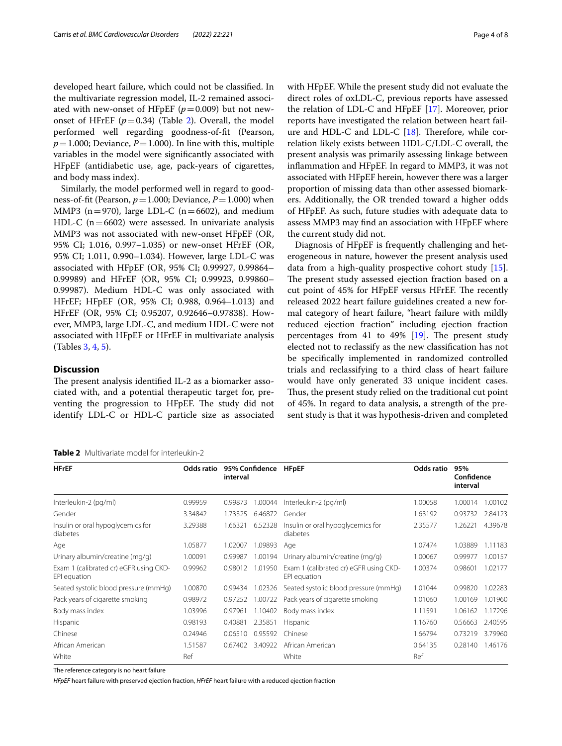developed heart failure, which could not be classifed. In the multivariate regression model, IL-2 remained associated with new-onset of HFpEF  $(p=0.009)$  but not newonset of HFrEF  $(p=0.34)$  (Table [2](#page-3-0)). Overall, the model performed well regarding goodness-of-ft (Pearson,  $p=1.000$ ; Deviance,  $P=1.000$ ). In line with this, multiple variables in the model were signifcantly associated with HFpEF (antidiabetic use, age, pack-years of cigarettes, and body mass index).

Similarly, the model performed well in regard to goodness-of-ft (Pearson, *p*=1.000; Deviance, *P*=1.000) when MMP3 ( $n=970$ ), large LDL-C ( $n=6602$ ), and medium HDL-C ( $n=6602$ ) were assessed. In univariate analysis MMP3 was not associated with new-onset HFpEF (OR, 95% CI; 1.016, 0.997–1.035) or new-onset HFrEF (OR, 95% CI; 1.011, 0.990–1.034). However, large LDL-C was associated with HFpEF (OR, 95% CI; 0.99927, 0.99864– 0.99989) and HFrEF (OR, 95% CI; 0.99923, 0.99860– 0.99987). Medium HDL-C was only associated with HFrEF; HFpEF (OR, 95% CI; 0.988, 0.964–1.013) and HFrEF (OR, 95% CI; 0.95207, 0.92646–0.97838). However, MMP3, large LDL-C, and medium HDL-C were not associated with HFpEF or HFrEF in multivariate analysis (Tables [3](#page-4-0), [4,](#page-4-1) [5](#page-5-0)).

#### **Discussion**

The present analysis identified IL-2 as a biomarker associated with, and a potential therapeutic target for, preventing the progression to HFpEF. The study did not identify LDL-C or HDL-C particle size as associated

<span id="page-3-0"></span>**Table 2** Multivariate model for interleukin-2

| <b>HFrEF</b>                                           | Odds ratio | 95% Confidence<br>interval |         | <b>HFpEF</b>                                           | Odds ratio | 95%<br>Confidence<br>interval |         |
|--------------------------------------------------------|------------|----------------------------|---------|--------------------------------------------------------|------------|-------------------------------|---------|
| Interleukin-2 (pg/ml)                                  | 0.99959    | 0.99873                    | 1.00044 | Interleukin-2 (pg/ml)                                  | 1.00058    | 1.00014                       | 1.00102 |
| Gender                                                 | 3.34842    | 1.73325                    | 6.46872 | Gender                                                 | 1.63192    | 0.93732                       | 2.84123 |
| Insulin or oral hypoglycemics for<br>diabetes          | 3.29388    | 1.66321                    | 6.52328 | Insulin or oral hypoglycemics for<br>diabetes          | 2.35577    | 1.26221                       | 4.39678 |
| Age                                                    | 1.05877    | 1.02007                    | 1.09893 | Age                                                    | 1.07474    | 1.03889                       | 1.11183 |
| Urinary albumin/creatine (mg/g)                        | 1.00091    | 0.99987                    | 1.00194 | Urinary albumin/creatine (mg/g)                        | 1.00067    | 0.99977                       | 1.00157 |
| Exam 1 (calibrated cr) eGFR using CKD-<br>EPI equation | 0.99962    | 0.98012                    | 1.01950 | Exam 1 (calibrated cr) eGFR using CKD-<br>EPI equation | 1.00374    | 0.98601                       | 1.02177 |
| Seated systolic blood pressure (mmHq)                  | 1.00870    | 0.99434                    | 1.02326 | Seated systolic blood pressure (mmHg)                  | 1.01044    | 0.99820                       | .02283  |
| Pack years of cigarette smoking                        | 0.98972    | 0.97252                    | 1.00722 | Pack years of cigarette smoking                        | 1.01060    | 1.00169                       | 1.01960 |
| Body mass index                                        | 1.03996    | 0.97961                    | 1.10402 | Body mass index                                        | 1.11591    | 1.06162                       | 1.17296 |
| Hispanic                                               | 0.98193    | 0.40881                    | 2.35851 | Hispanic                                               | 1.16760    | 0.56663                       | 2.40595 |
| Chinese                                                | 0.24946    | 0.06510                    | 0.95592 | Chinese                                                | 1.66794    | 0.73219                       | 3.79960 |
| African American                                       | 1.51587    | 0.67402                    | 3.40922 | African American                                       | 0.64135    | 0.28140                       | 1.46176 |
| White                                                  | Ref        |                            |         | White                                                  | Ref        |                               |         |

The reference category is no heart failure

*HFpEF* heart failure with preserved ejection fraction, *HFrEF* heart failure with a reduced ejection fraction

with HFpEF. While the present study did not evaluate the direct roles of oxLDL-C, previous reports have assessed the relation of LDL-C and HFpEF [[17\]](#page-6-15). Moreover, prior reports have investigated the relation between heart failure and HDL-C and LDL-C  $[18]$  $[18]$ . Therefore, while correlation likely exists between HDL-C/LDL-C overall, the present analysis was primarily assessing linkage between infammation and HFpEF. In regard to MMP3, it was not associated with HFpEF herein, however there was a larger proportion of missing data than other assessed biomarkers. Additionally, the OR trended toward a higher odds of HFpEF. As such, future studies with adequate data to assess MMP3 may fnd an association with HFpEF where the current study did not.

Diagnosis of HFpEF is frequently challenging and heterogeneous in nature, however the present analysis used data from a high-quality prospective cohort study [\[15](#page-6-12)]. The present study assessed ejection fraction based on a cut point of 45% for HFpEF versus HFrEF. The recently released 2022 heart failure guidelines created a new formal category of heart failure, "heart failure with mildly reduced ejection fraction" including ejection fraction percentages from 41 to 49%  $[19]$  $[19]$ . The present study elected not to reclassify as the new classifcation has not be specifcally implemented in randomized controlled trials and reclassifying to a third class of heart failure would have only generated 33 unique incident cases. Thus, the present study relied on the traditional cut point of 45%. In regard to data analysis, a strength of the present study is that it was hypothesis-driven and completed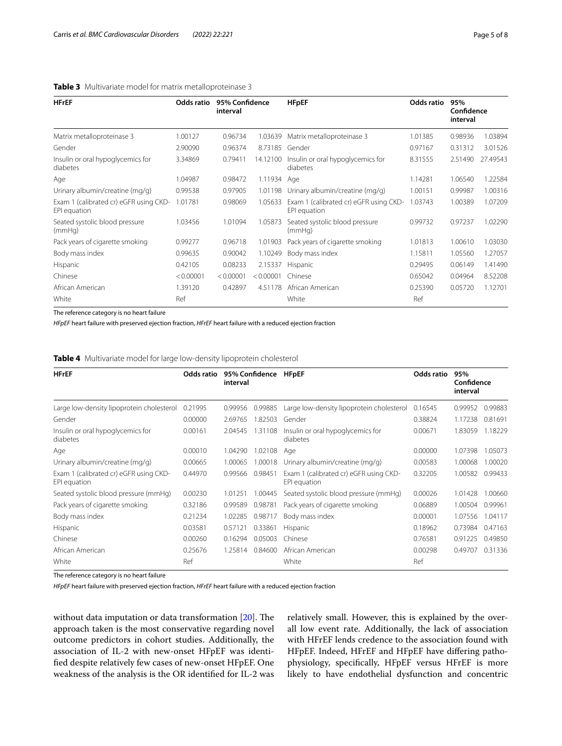#### <span id="page-4-0"></span>**Table 3** Multivariate model for matrix metalloproteinase 3

| HFrEF<br>Matrix metalloproteinase 3                    | Odds ratio | 95% Confidence<br>interval |             | <b>HFpEF</b>                                           | Odds ratio | 95%<br>Confidence<br>interval |          |
|--------------------------------------------------------|------------|----------------------------|-------------|--------------------------------------------------------|------------|-------------------------------|----------|
|                                                        | 1.00127    | 0.96734                    | 1.03639     | Matrix metalloproteinase 3                             | 1.01385    | 0.98936                       | 1.03894  |
| Gender                                                 | 2.90090    | 0.96374                    | 8.73185     | Gender                                                 | 0.97167    | 0.31312                       | 3.01526  |
| Insulin or oral hypoglycemics for<br>diabetes          | 3.34869    | 0.79411                    | 14.12100    | Insulin or oral hypoglycemics for<br>diabetes          | 8.31555    | 2.51490                       | 27.49543 |
| Age                                                    | 1.04987    | 0.98472                    | 1.11934 Age |                                                        | 1.14281    | 1.06540                       | 1.22584  |
| Urinary albumin/creatine (mg/g)                        | 0.99538    | 0.97905                    | 1.01198     | Urinary albumin/creatine (mg/g)                        | 1.00151    | 0.99987                       | 1.00316  |
| Exam 1 (calibrated cr) eGFR using CKD-<br>EPI equation | 1.01781    | 0.98069                    | 1.05633     | Exam 1 (calibrated cr) eGFR using CKD-<br>EPI equation | 1.03743    | 1.00389                       | 1.07209  |
| Seated systolic blood pressure<br>(mmHg)               | 1.03456    | 1.01094                    | 1.05873     | Seated systolic blood pressure<br>(mmHq)               | 0.99732    | 0.97237                       | 1.02290  |
| Pack years of cigarette smoking                        | 0.99277    | 0.96718                    | 1.01903     | Pack years of cigarette smoking                        | 1.01813    | 1.00610                       | 1.03030  |
| Body mass index                                        | 0.99635    | 0.90042                    | 1.10249     | Body mass index                                        | 1.15811    | 1.05560                       | 1.27057  |
| <b>Hispanic</b>                                        | 0.42105    | 0.08233                    | 2.15337     | Hispanic                                               | 0.29495    | 0.06149                       | 1.41490  |
| Chinese                                                | < 0.00001  | < 0.00001                  | < 0.00001   | Chinese                                                | 0.65042    | 0.04964                       | 8.52208  |
| African American                                       | 1.39120    | 0.42897                    | 4.51178     | African American                                       | 0.25390    | 0.05720                       | 1.12701  |
| White                                                  | Ref        |                            |             | White                                                  | Ref        |                               |          |

The reference category is no heart failure

*HFpEF* heart failure with preserved ejection fraction, *HFrEF* heart failure with a reduced ejection fraction

<span id="page-4-1"></span>**Table 4** Multivariate model for large low-density lipoprotein cholesterol

| <b>HFrEF</b>                                           | Odds ratio | 95% Confidence<br>interval |         | <b>HFpEF</b>                                           | Odds ratio | 95%<br>Confidence<br>interval |         |
|--------------------------------------------------------|------------|----------------------------|---------|--------------------------------------------------------|------------|-------------------------------|---------|
| Large low-density lipoprotein cholesterol              | 0.21995    | 0.99956                    | 0.99885 | Large low-density lipoprotein cholesterol              | 0.16545    | 0.99952                       | 0.99883 |
| Gender                                                 | 0.00000    | 2.69765                    | .82503  | Gender                                                 | 0.38824    | 1.17238                       | 0.81691 |
| Insulin or oral hypoglycemics for<br>diabetes          | 0.00161    | 2.04545                    | 1.31108 | Insulin or oral hypoglycemics for<br>diabetes          | 0.00671    | 1.83059                       | 1.18229 |
| Age                                                    | 0.00010    | 1.04290                    | .02108  | Age                                                    | 0.00000    | 1.07398                       | 1.05073 |
| Urinary albumin/creatine (mg/g)                        | 0.00665    | 1.00065                    | 1.00018 | Urinary albumin/creatine (mg/g)                        | 0.00583    | 1.00068                       | 1.00020 |
| Exam 1 (calibrated cr) eGFR using CKD-<br>EPI equation | 0.44970    | 0.99566                    | 0.98451 | Exam 1 (calibrated cr) eGFR using CKD-<br>EPI equation | 0.32205    | 1.00582                       | 0.99433 |
| Seated systolic blood pressure (mmHg)                  | 0.00230    | 1.01251                    | .00445  | Seated systolic blood pressure (mmHg)                  | 0.00026    | 1.01428                       | 1.00660 |
| Pack years of cigarette smoking                        | 0.32186    | 0.99589                    | 0.98781 | Pack years of cigarette smoking                        | 0.06889    | 1.00504                       | 0.99961 |
| Body mass index                                        | 0.21234    | 1.02285                    | 0.98717 | Body mass index                                        | 0.00001    | 1.07556                       | 1.04117 |
| Hispanic                                               | 0.03581    | 0.57121                    | 0.33861 | Hispanic                                               | 0.18962    | 0.73984                       | 0.47163 |
| Chinese                                                | 0.00260    | 0.16294                    | 0.05003 | Chinese                                                | 0.76581    | 0.91225                       | 0.49850 |
| African American                                       | 0.25676    | 1.25814                    | 0.84600 | African American                                       | 0.00298    | 0.49707                       | 0.31336 |
| White                                                  | Ref        |                            |         | White                                                  | Ref        |                               |         |

The reference category is no heart failure

*HFpEF* heart failure with preserved ejection fraction, *HFrEF* heart failure with a reduced ejection fraction

without data imputation or data transformation  $[20]$  $[20]$ . The approach taken is the most conservative regarding novel outcome predictors in cohort studies. Additionally, the association of IL-2 with new-onset HFpEF was identifed despite relatively few cases of new-onset HFpEF. One weakness of the analysis is the OR identifed for IL-2 was

relatively small. However, this is explained by the overall low event rate. Additionally, the lack of association with HFrEF lends credence to the association found with HFpEF. Indeed, HFrEF and HFpEF have difering pathophysiology, specifcally, HFpEF versus HFrEF is more likely to have endothelial dysfunction and concentric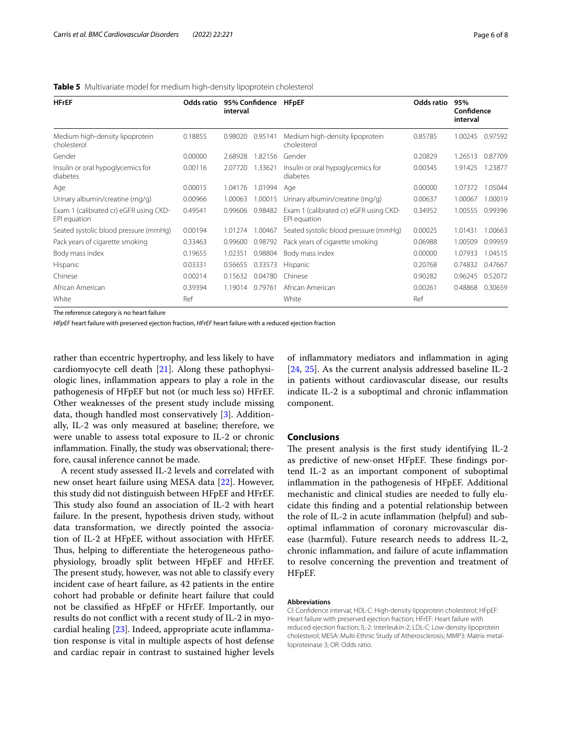| <b>HFrEF</b><br>Medium high-density lipoprotein<br>cholesterol | Odds ratio | 95% Confidence<br>interval |         | <b>HFpEF</b>                                           | Odds ratio | 95%<br>Confidence<br>interval |         |
|----------------------------------------------------------------|------------|----------------------------|---------|--------------------------------------------------------|------------|-------------------------------|---------|
|                                                                | 0.18855    | 0.98020                    | 0.95141 | Medium high-density lipoprotein<br>cholesterol         | 0.85785    | 1.00245                       | 0.97592 |
| Gender                                                         | 0.00000    | 2.68928                    | 1.82156 | Gender                                                 | 0.20829    | .26513                        | 0.87709 |
| Insulin or oral hypoglycemics for<br>diabetes                  | 0.00116    | 2.07720                    | 1.33621 | Insulin or oral hypoglycemics for<br>diabetes          | 0.00345    | 1.91425                       | 1.23877 |
| Age                                                            | 0.00015    | 1.04176                    | 1.01994 | Age                                                    | 0.00000    | 1.07372                       | 1.05044 |
| Urinary albumin/creatine (mg/g)                                | 0.00966    | 1.00063                    | 1.00015 | Urinary albumin/creatine (mg/g)                        | 0.00637    | 1.00067                       | 1.00019 |
| Exam 1 (calibrated cr) eGFR using CKD-<br>EPI equation         | 0.49541    | 0.99606                    | 0.98482 | Exam 1 (calibrated cr) eGFR using CKD-<br>EPI equation | 0.34952    | 1.00555                       | 0.99396 |
| Seated systolic blood pressure (mmHg)                          | 0.00194    | 1.01274                    | 1.00467 | Seated systolic blood pressure (mmHg)                  | 0.00025    | 1.01431                       | 1.00663 |
| Pack years of cigarette smoking                                | 0.33463    | 0.99600                    | 0.98792 | Pack years of cigarette smoking                        | 0.06988    | 1.00509                       | 0.99959 |
| Body mass index                                                | 0.19655    | 1.02351                    | 0.98804 | Body mass index                                        | 0.00000    | 1.07933                       | 1.04515 |
| Hispanic                                                       | 0.03331    | 0.56655                    | 0.33573 | Hispanic                                               | 0.20768    | 0.74832                       | 0.47667 |
| Chinese                                                        | 0.00214    | 0.15632                    | 0.04780 | Chinese                                                | 0.90282    | 0.96245                       | 0.52072 |
| African American                                               | 0.39394    | 1.19014                    | 0.79761 | African American                                       | 0.00261    | 0.48868                       | 0.30659 |
| White                                                          | Ref        |                            |         | White                                                  | Ref        |                               |         |

#### <span id="page-5-0"></span>**Table 5** Multivariate model for medium high-density lipoprotein cholesterol

The reference category is no heart failure

*HFpEF* heart failure with preserved ejection fraction, *HFrEF* heart failure with a reduced ejection fraction

rather than eccentric hypertrophy, and less likely to have cardiomyocyte cell death [[21\]](#page-6-19). Along these pathophysiologic lines, infammation appears to play a role in the pathogenesis of HFpEF but not (or much less so) HFrEF. Other weaknesses of the present study include missing data, though handled most conservatively [[3\]](#page-6-2). Additionally, IL-2 was only measured at baseline; therefore, we were unable to assess total exposure to IL-2 or chronic infammation. Finally, the study was observational; therefore, causal inference cannot be made.

A recent study assessed IL-2 levels and correlated with new onset heart failure using MESA data [[22\]](#page-6-20). However, this study did not distinguish between HFpEF and HFrEF. This study also found an association of IL-2 with heart failure. In the present, hypothesis driven study, without data transformation, we directly pointed the association of IL-2 at HFpEF, without association with HFrEF. Thus, helping to differentiate the heterogeneous pathophysiology, broadly split between HFpEF and HFrEF. The present study, however, was not able to classify every incident case of heart failure, as 42 patients in the entire cohort had probable or defnite heart failure that could not be classifed as HFpEF or HFrEF. Importantly, our results do not confict with a recent study of IL-2 in myocardial healing [\[23](#page-6-21)]. Indeed, appropriate acute infammation response is vital in multiple aspects of host defense and cardiac repair in contrast to sustained higher levels

of infammatory mediators and infammation in aging [[24,](#page-7-0) [25](#page-7-1)]. As the current analysis addressed baseline IL-2 in patients without cardiovascular disease, our results indicate IL-2 is a suboptimal and chronic infammation component.

#### **Conclusions**

The present analysis is the first study identifying IL-2 as predictive of new-onset HFpEF. These findings portend IL-2 as an important component of suboptimal infammation in the pathogenesis of HFpEF. Additional mechanistic and clinical studies are needed to fully elucidate this fnding and a potential relationship between the role of IL-2 in acute infammation (helpful) and suboptimal infammation of coronary microvascular disease (harmful). Future research needs to address IL-2, chronic infammation, and failure of acute infammation to resolve concerning the prevention and treatment of HFpEF.

#### **Abbreviations**

CI: Confdence interval; HDL-C: High-density lipoprotein cholesterol; HFpEF: Heart failure with preserved ejection fraction; HFrEF: Heart failure with reduced ejection fraction; IL-2: Interleukin-2; LDL-C: Low-density lipoprotein cholesterol; MESA: Multi-Ethnic Study of Atherosclerosis; MMP3: Matrix metalloproteinase 3; OR: Odds ratio.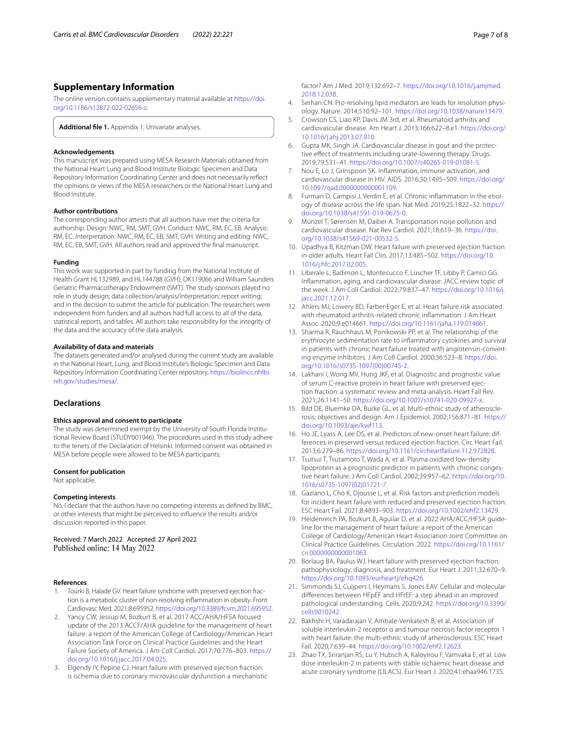### **Supplementary Information**

The online version contains supplementary material available at [https://doi.](https://doi.org/10.1186/s12872-022-02656-z) [org/10.1186/s12872-022-02656-z.](https://doi.org/10.1186/s12872-022-02656-z)

<span id="page-6-14"></span>**Additional fle 1.** Appendix 1: Univariate analyses.

#### **Acknowledgements**

This manuscript was prepared using MESA Research Materials obtained from the National Heart Lung and Blood Institute Biologic Specimen and Data Repository Information Coordinating Center and does not necessarily refect the opinions or views of the MESA researchers or the National Heart Lung and Blood Institute.

#### **Author contributions**

The corresponding author attests that all authors have met the criteria for authorship. Design: NWC, RM, SMT, GVH. Conduct: NWC, RM, EC, EB. Analysis: RM, EC. Interpretation: NWC, RM, EC, EB, SMT, GVH. Writing and editing: NWC, RM, EC, EB, SMT, GVH. All authors read and approved the fnal manuscript.

#### **Funding**

This work was supported in part by funding from the National Institute of Health Grant HL132989, and HL144788 (GVH), DK119066 and William Saunders Geriatric Pharmacotherapy Endowment (SMT). The study sponsors played no role in study design; data collection/analysis/interpretation; report writing; and in the decision to submit the article for publication. The researchers were independent from funders and all authors had full access to all of the data, statistical reports, and tables. All authors take responsibility for the integrity of the data and the accuracy of the data analysis.

#### **Availability of data and materials**

The datasets generated and/or analysed during the current study are available in the National Heart, Lung, and Blood Institute's Biologic Specimen and Data Repository Information Coordinating Center repository, [https://biolincc.nhlbi.](https://biolincc.nhlbi.nih.gov/studies/mesa/) [nih.gov/studies/mesa/](https://biolincc.nhlbi.nih.gov/studies/mesa/).

#### **Declarations**

#### **Ethics approval and consent to participate**

The study was determined exempt by the University of South Florida Institutional Review Board (STUDY001946). The procedures used in this study adhere to the tenets of the Declaration of Helsinki. Informed consent was obtained in MESA before people were allowed to be MESA participants.

#### **Consent for publication**

Not applicable.

#### **Competing interests**

No, I declare that the authors have no competing interests as defned by BMC, or other interests that might be perceived to infuence the results and/or discussion reported in this paper.

Received: 7 March 2022 Accepted: 27 April 2022 Published online: 14 May 2022

#### **References**

- <span id="page-6-0"></span>Tourki B, Halade GV. Heart failure syndrome with preserved ejection fraction is a metabolic cluster of non-resolving infammation in obesity. Front Cardiovasc Med. 2021;8:695952.<https://doi.org/10.3389/fcvm.2021.695952>.
- <span id="page-6-1"></span>2. Yancy CW, Jessup M, Bozkurt B, et al. 2017 ACC/AHA/HFSA focused update of the 2013 ACCF/AHA guideline for the management of heart failure: a report of the American College of Cardiology/American Heart Association Task Force on Clinical Practice Guidelines and the Heart Failure Society of America. J Am Coll Cardiol. 2017;70:776–803. [https://](https://doi.org/10.1016/j.jacc.2017.04.025) [doi.org/10.1016/j.jacc.2017.04.025](https://doi.org/10.1016/j.jacc.2017.04.025).
- <span id="page-6-2"></span>3. Elgendy IY, Pepine CJ. Heart failure with preserved ejection fraction: is ischemia due to coronary microvascular dysfunction a mechanistic

factor? Am J Med. 2019;132:692–7. [https://doi.org/10.1016/j.amjmed.](https://doi.org/10.1016/j.amjmed.2018.12.038) [2018.12.038](https://doi.org/10.1016/j.amjmed.2018.12.038).

- <span id="page-6-3"></span>4. Serhan CN. Pro-resolving lipid mediators are leads for resolution physiology. Nature. 2014;510:92–101. <https://doi.org/10.1038/nature13479>.
- <span id="page-6-4"></span>5. Crowson CS, Liao KP, Davis JM 3rd, et al. Rheumatoid arthritis and cardiovascular disease. Am Heart J. 2013;166:622–8.e1. [https://doi.org/](https://doi.org/10.1016/j.ahj.2013.07.010) [10.1016/j.ahj.2013.07.010.](https://doi.org/10.1016/j.ahj.2013.07.010)
- 6. Gupta MK, Singh JA. Cardiovascular disease in gout and the protective efect of treatments including urate-lowering therapy. Drugs. 2019;79:531–41. [https://doi.org/10.1007/s40265-019-01081-5.](https://doi.org/10.1007/s40265-019-01081-5)
- <span id="page-6-5"></span>7. Nou E, Lo J, Grinspoon SK. Infammation, immune activation, and cardiovascular disease in HIV. AIDS. 2016;30:1495–509. [https://doi.org/](https://doi.org/10.1097/qad.0000000000001109) [10.1097/qad.0000000000001109.](https://doi.org/10.1097/qad.0000000000001109)
- <span id="page-6-6"></span>8. Furman D, Campisi J, Verdin E, et al. Chronic infammation in the etiology of disease across the life span. Nat Med. 2019;25:1822–32. [https://](https://doi.org/10.1038/s41591-019-0675-0) [doi.org/10.1038/s41591-019-0675-0.](https://doi.org/10.1038/s41591-019-0675-0)
- <span id="page-6-7"></span>9. Münzel T, Sørensen M, Daiber A. Transportation noise pollution and cardiovascular disease. Nat Rev Cardiol. 2021;18:619–36. [https://doi.](https://doi.org/10.1038/s41569-021-00532-5) [org/10.1038/s41569-021-00532-5](https://doi.org/10.1038/s41569-021-00532-5).
- <span id="page-6-8"></span>10. Upadhya B, Kitzman DW. Heart failure with preserved ejection fraction in older adults. Heart Fail Clin. 2017;13:485–502. [https://doi.org/10.](https://doi.org/10.1016/j.hfc.2017.02.005) [1016/j.hfc.2017.02.005](https://doi.org/10.1016/j.hfc.2017.02.005).
- <span id="page-6-9"></span>11. Liberale L, Badimon L, Montecucco F, Lüscher TF, Libby P, Camici GG. Infammation, aging, and cardiovascular disease: JACC review topic of the week. J Am Coll Cardiol. 2022;79:837–47. [https://doi.org/10.1016/j.](https://doi.org/10.1016/j.jacc.2021.12.017) [jacc.2021.12.017.](https://doi.org/10.1016/j.jacc.2021.12.017)
- <span id="page-6-10"></span>12. Ahlers MJ, Lowery BD, Farber-Eger E, et al. Heart failure risk associated with rheumatoid arthritis-related chronic infammation. J Am Heart Assoc. 2020;9:e014661. [https://doi.org/10.1161/jaha.119.014661.](https://doi.org/10.1161/jaha.119.014661)
- 13. Sharma R, Rauchhaus M, Ponikowski PP, et al. The relationship of the erythrocyte sedimentation rate to infammatory cytokines and survival in patients with chronic heart failure treated with angiotensin-converting enzyme inhibitors. J Am Coll Cardiol. 2000;36:523–8. [https://doi.](https://doi.org/10.1016/s0735-1097(00)00745-2) [org/10.1016/s0735-1097\(00\)00745-2.](https://doi.org/10.1016/s0735-1097(00)00745-2)
- <span id="page-6-11"></span>14. Lakhani I, Wong MV, Hung JKF, et al. Diagnostic and prognostic value of serum C-reactive protein in heart failure with preserved ejection fraction: a systematic review and meta-analysis. Heart Fail Rev. 2021;26:1141–50. <https://doi.org/10.1007/s10741-020-09927-x>.
- <span id="page-6-12"></span>15. Bild DE, Bluemke DA, Burke GL, et al. Multi-ethnic study of atherosclerosis: objectives and design. Am J Epidemiol. 2002;156:871–81. [https://](https://doi.org/10.1093/aje/kwf113) [doi.org/10.1093/aje/kwf113](https://doi.org/10.1093/aje/kwf113).
- <span id="page-6-13"></span>16. Ho JE, Lyass A, Lee DS, et al. Predictors of new-onset heart failure: differences in preserved versus reduced ejection fraction. Circ Heart Fail. 2013;6:279–86.<https://doi.org/10.1161/circheartfailure.112.972828>.
- <span id="page-6-15"></span>17. Tsutsui T, Tsutamoto T, Wada A, et al. Plasma oxidized low-density lipoprotein as a prognostic predictor in patients with chronic congestive heart failure. J Am Coll Cardiol. 2002;39:957–62. [https://doi.org/10.](https://doi.org/10.1016/s0735-1097(02)01721-7) [1016/s0735-1097\(02\)01721-7.](https://doi.org/10.1016/s0735-1097(02)01721-7)
- <span id="page-6-16"></span>18. Gaziano L, Cho K, Djousse L, et al. Risk factors and prediction models for incident heart failure with reduced and preserved ejection fraction. ESC Heart Fail. 2021;8:4893–903. <https://doi.org/10.1002/ehf2.13429>.
- <span id="page-6-17"></span>19. Heidenreich PA, Bozkurt B, Aguilar D, et al. 2022 AHA/ACC/HFSA guideline for the management of heart failure: a report of the American College of Cardiology/American Heart Association Joint Committee on Clinical Practice Guidelines. Circulation. 2022. [https://doi.org/10.1161/](https://doi.org/10.1161/cir.0000000000001063) [cir.0000000000001063](https://doi.org/10.1161/cir.0000000000001063).
- <span id="page-6-18"></span>20. Borlaug BA, Paulus WJ. Heart failure with preserved ejection fraction: pathophysiology, diagnosis, and treatment. Eur Heart J. 2011;32:670–9. <https://doi.org/10.1093/eurheartj/ehq426>.
- <span id="page-6-19"></span>21. Simmonds SJ, Cuijpers I, Heymans S, Jones EAV. Cellular and molecular diferences between HFpEF and HFrEF: a step ahead in an improved pathological understanding. Cells. 2020;9:242. [https://doi.org/10.3390/](https://doi.org/10.3390/cells9010242) [cells9010242.](https://doi.org/10.3390/cells9010242)
- <span id="page-6-20"></span>22. Bakhshi H, Varadarajan V, Ambale-Venkatesh B, et al. Association of soluble interleukin-2 receptor α and tumour necrosis factor receptor 1 with heart failure: the multi-ethnic study of atherosclerosis. ESC Heart Fail. 2020;7:639–44. [https://doi.org/10.1002/ehf2.12623.](https://doi.org/10.1002/ehf2.12623)
- <span id="page-6-21"></span>23. Zhao TX, Sriranjan RS, Lu Y, Hubsch A, Kaloyirou F, Vamvaka E, et al. Low dose interleukin-2 in patients with stable ischaemic heart disease and acute coronary syndrome (LILACS). Eur Heart J. 2020;41:ehaa946.1735.